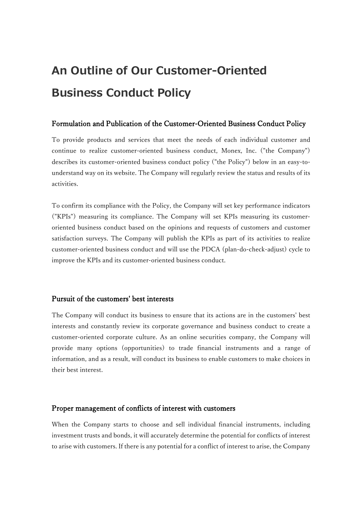# **An Outline of Our Customer-Oriented Business Conduct Policy**

# Formulation and Publication of the Customer-Oriented Business Conduct Policy

To provide products and services that meet the needs of each individual customer and continue to realize customer-oriented business conduct, Monex, Inc. ("the Company") describes its customer-oriented business conduct policy ("the Policy") below in an easy-tounderstand way on its website. The Company will regularly review the status and results of its activities.

To confirm its compliance with the Policy, the Company will set key performance indicators ("KPIs") measuring its compliance. The Company will set KPIs measuring its customeroriented business conduct based on the opinions and requests of customers and customer satisfaction surveys. The Company will publish the KPIs as part of its activities to realize customer-oriented business conduct and will use the PDCA (plan-do-check-adjust) cycle to improve the KPIs and its customer-oriented business conduct.

# Pursuit of the customers' best interests

The Company will conduct its business to ensure that its actions are in the customers' best interests and constantly review its corporate governance and business conduct to create a customer-oriented corporate culture. As an online securities company, the Company will provide many options (opportunities) to trade financial instruments and a range of information, and as a result, will conduct its business to enable customers to make choices in their best interest.

### Proper management of conflicts of interest with customers

When the Company starts to choose and sell individual financial instruments, including investment trusts and bonds, it will accurately determine the potential for conflicts of interest to arise with customers. If there is any potential for a conflict of interest to arise, the Company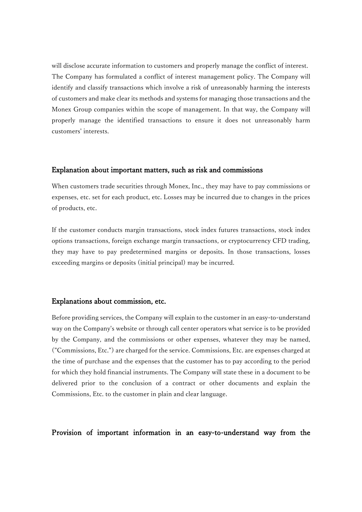will disclose accurate information to customers and properly manage the conflict of interest. The Company has formulated a conflict of interest management policy. The Company will identify and classify transactions which involve a risk of unreasonably harming the interests of customers and make clear its methods and systems for managing those transactions and the Monex Group companies within the scope of management. In that way, the Company will properly manage the identified transactions to ensure it does not unreasonably harm customers' interests.

# Explanation about important matters, such as risk and commissions

When customers trade securities through Monex, Inc., they may have to pay commissions or expenses, etc. set for each product, etc. Losses may be incurred due to changes in the prices of products, etc.

If the customer conducts margin transactions, stock index futures transactions, stock index options transactions, foreign exchange margin transactions, or cryptocurrency CFD trading, they may have to pay predetermined margins or deposits. In those transactions, losses exceeding margins or deposits (initial principal) may be incurred.

### Explanations about commission, etc.

Before providing services, the Company will explain to the customer in an easy-to-understand way on the Company's website or through call center operators what service is to be provided by the Company, and the commissions or other expenses, whatever they may be named, ("Commissions, Etc.") are charged for the service. Commissions, Etc. are expenses charged at the time of purchase and the expenses that the customer has to pay according to the period for which they hold financial instruments. The Company will state these in a document to be delivered prior to the conclusion of a contract or other documents and explain the Commissions, Etc. to the customer in plain and clear language.

Provision of important information in an easy-to-understand way from the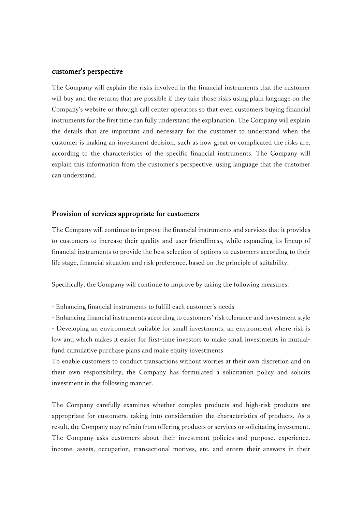### customer's perspective

The Company will explain the risks involved in the financial instruments that the customer will buy and the returns that are possible if they take those risks using plain language on the Company's website or through call center operators so that even customers buying financial instruments for the first time can fully understand the explanation. The Company will explain the details that are important and necessary for the customer to understand when the customer is making an investment decision, such as how great or complicated the risks are, according to the characteristics of the specific financial instruments. The Company will explain this information from the customer's perspective, using language that the customer can understand.

## Provision of services appropriate for customers

The Company will continue to improve the financial instruments and services that it provides to customers to increase their quality and user-friendliness, while expanding its lineup of financial instruments to provide the best selection of options to customers according to their life stage, financial situation and risk preference, based on the principle of suitability.

Specifically, the Company will continue to improve by taking the following measures:

- Enhancing financial instruments to fulfill each customer's needs

- Enhancing financial instruments according to customers' risk tolerance and investment style - Developing an environment suitable for small investments, an environment where risk is low and which makes it easier for first-time investors to make small investments in mutualfund cumulative purchase plans and make equity investments

To enable customers to conduct transactions without worries at their own discretion and on their own responsibility, the Company has formulated a solicitation policy and solicits investment in the following manner.

The Company carefully examines whether complex products and high-risk products are appropriate for customers, taking into consideration the characteristics of products. As a result, the Company may refrain from offering products or services or solicitating investment. The Company asks customers about their investment policies and purpose, experience, income, assets, occupation, transactional motives, etc. and enters their answers in their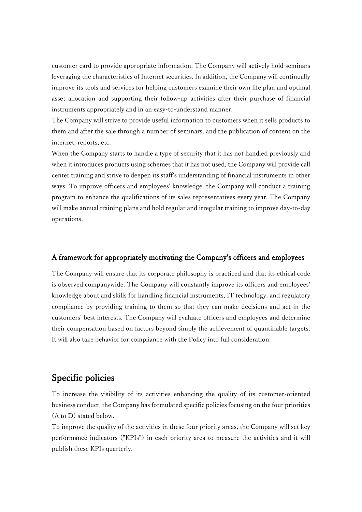customer card to provide appropriate information. The Company will actively hold seminars leveraging the characteristics of Internet securities. In addition, the Company will continually improve its tools and services for helping customers examine their own life plan and optimal asset allocation and supporting their follow-up activities after their purchase of financial instruments appropriately and in an easy-to-understand manner.

The Company will strive to provide useful information to customers when it sells products to them and after the sale through a number of seminars, and the publication of content on the internet, reports, etc.

When the Company starts to handle a type of security that it has not handled previously and when it introduces products using schemes that it has not used, the Company will provide call center training and strive to deepen its staff's understanding of financial instruments in other ways. To improve officers and employees' knowledge, the Company will conduct a training program to enhance the qualifications of its sales representatives every year. The Company will make annual training plans and hold regular and irregular training to improve day-to-day operations.

# A framework for appropriately motivating the Company's officers and employees

The Company will ensure that its corporate philosophy is practiced and that its ethical code is observed companywide. The Company will constantly improve its officers and employees' knowledge about and skills for handling financial instruments, IT technology, and regulatory compliance by providing training to them so that they can make decisions and act in the customers' best interests. The Company will evaluate officers and employees and determine their compensation based on factors beyond simply the achievement of quantifiable targets. It will also take behavior for compliance with the Policy into full consideration.

# Specific policies

To increase the visibility of its activities enhancing the quality of its customer-oriented business conduct, the Company has formulated specific policies focusing on the four priorities (A to D) stated below.

To improve the quality of the activities in these four priority areas, the Company will set key performance indicators ("KPIs") in each priority area to measure the activities and it will publish these KPIs quarterly.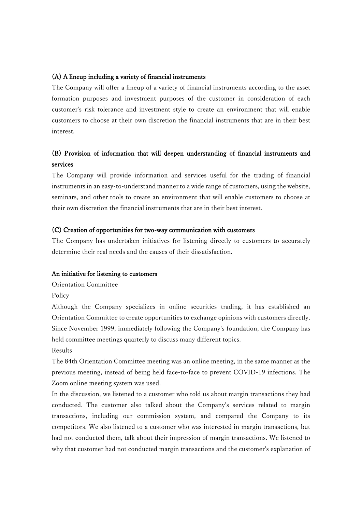### (A) A lineup including a variety of financial instruments

The Company will offer a lineup of a variety of financial instruments according to the asset formation purposes and investment purposes of the customer in consideration of each customer's risk tolerance and investment style to create an environment that will enable customers to choose at their own discretion the financial instruments that are in their best interest.

# (B) Provision of information that will deepen understanding of financial instruments and services

The Company will provide information and services useful for the trading of financial instruments in an easy-to-understand manner to a wide range of customers, using the website, seminars, and other tools to create an environment that will enable customers to choose at their own discretion the financial instruments that are in their best interest.

### (C) Creation of opportunities for two-way communication with customers

The Company has undertaken initiatives for listening directly to customers to accurately determine their real needs and the causes of their dissatisfaction.

### An initiative for listening to customers

Orientation Committee

Policy

Although the Company specializes in online securities trading, it has established an Orientation Committee to create opportunities to exchange opinions with customers directly. Since November 1999, immediately following the Company's foundation, the Company has held committee meetings quarterly to discuss many different topics.

Results

The 84th Orientation Committee meeting was an online meeting, in the same manner as the previous meeting, instead of being held face-to-face to prevent COVID-19 infections. The Zoom online meeting system was used.

In the discussion, we listened to a customer who told us about margin transactions they had conducted. The customer also talked about the Company's services related to margin transactions, including our commission system, and compared the Company to its competitors. We also listened to a customer who was interested in margin transactions, but had not conducted them, talk about their impression of margin transactions. We listened to why that customer had not conducted margin transactions and the customer's explanation of